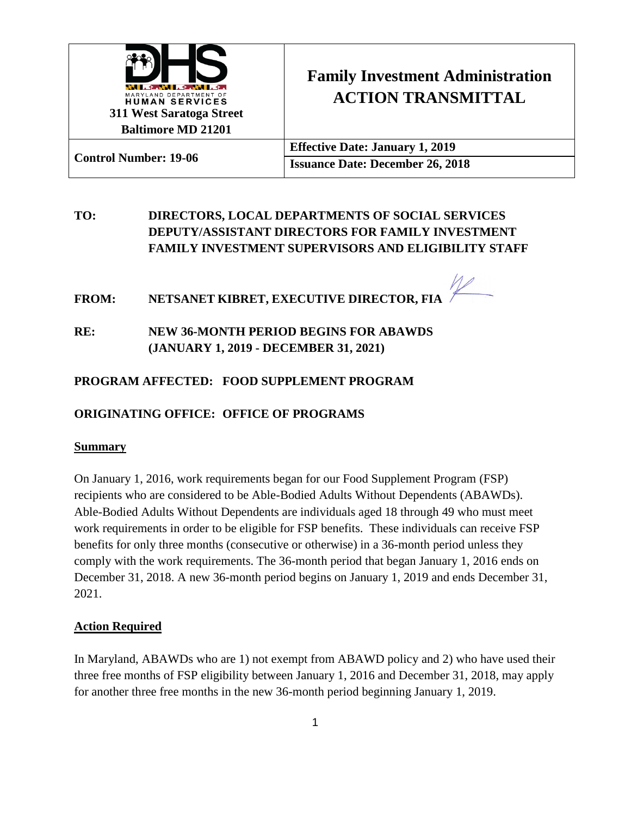

# **Family Investment Administration ACTION TRANSMITTAL**

| <b>Control Number: 19-06</b> | <b>Effective Date: January 1, 2019</b>  |
|------------------------------|-----------------------------------------|
|                              | <b>Issuance Date: December 26, 2018</b> |

## **TO: DIRECTORS, LOCAL DEPARTMENTS OF SOCIAL SERVICES DEPUTY/ASSISTANT DIRECTORS FOR FAMILY INVESTMENT FAMILY INVESTMENT SUPERVISORS AND ELIGIBILITY STAFF**

**FROM: NETSANET KIBRET, EXECUTIVE DIRECTOR, FIA**

**RE: NEW 36-MONTH PERIOD BEGINS FOR ABAWDS (JANUARY 1, 2019 - DECEMBER 31, 2021)**

## **PROGRAM AFFECTED: FOOD SUPPLEMENT PROGRAM**

## **ORIGINATING OFFICE: OFFICE OF PROGRAMS**

#### **Summary**

On January 1, 2016, work requirements began for our Food Supplement Program (FSP) recipients who are considered to be Able-Bodied Adults Without Dependents (ABAWDs). Able-Bodied Adults Without Dependents are individuals aged 18 through 49 who must meet work requirements in order to be eligible for FSP benefits. These individuals can receive FSP benefits for only three months (consecutive or otherwise) in a 36-month period unless they comply with the work requirements. The 36-month period that began January 1, 2016 ends on December 31, 2018. A new 36-month period begins on January 1, 2019 and ends December 31, 2021.

#### **Action Required**

In Maryland, ABAWDs who are 1) not exempt from ABAWD policy and 2) who have used their three free months of FSP eligibility between January 1, 2016 and December 31, 2018, may apply for another three free months in the new 36-month period beginning January 1, 2019.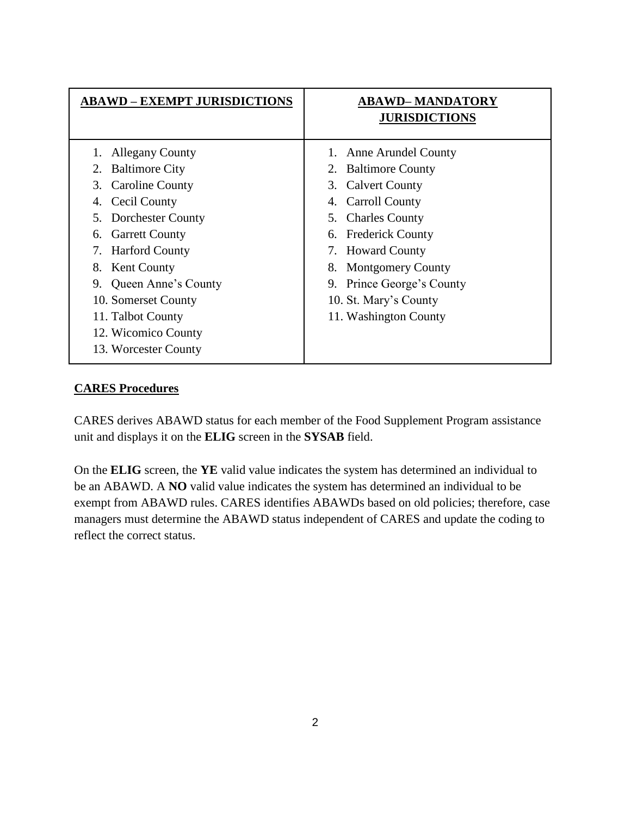| <b>ABAWD – EXEMPT JURISDICTIONS</b>                                                                                                                                                                                                                                                                                                                      | <b>ABAWD-MANDATORY</b><br><b>JURISDICTIONS</b>                                                                                                                                                                                                                                                                 |
|----------------------------------------------------------------------------------------------------------------------------------------------------------------------------------------------------------------------------------------------------------------------------------------------------------------------------------------------------------|----------------------------------------------------------------------------------------------------------------------------------------------------------------------------------------------------------------------------------------------------------------------------------------------------------------|
| <b>Allegany County</b><br><b>Baltimore City</b><br>2.<br><b>Caroline County</b><br>3.<br>Cecil County<br>4.<br>Dorchester County<br>5.<br><b>Garrett County</b><br>6.<br><b>Harford County</b><br>7.<br><b>Kent County</b><br>8.<br>Queen Anne's County<br>9.<br>10. Somerset County<br>11. Talbot County<br>12. Wicomico County<br>13. Worcester County | <b>Anne Arundel County</b><br><b>Baltimore County</b><br>3. Calvert County<br><b>Carroll County</b><br>4.<br>5. Charles County<br><b>Frederick County</b><br>6.<br><b>Howard County</b><br>7.<br><b>Montgomery County</b><br>8.<br>9. Prince George's County<br>10. St. Mary's County<br>11. Washington County |

## **CARES Procedures**

CARES derives ABAWD status for each member of the Food Supplement Program assistance unit and displays it on the **ELIG** screen in the **SYSAB** field.

On the **ELIG** screen, the **YE** valid value indicates the system has determined an individual to be an ABAWD. A **NO** valid value indicates the system has determined an individual to be exempt from ABAWD rules. CARES identifies ABAWDs based on old policies; therefore, case managers must determine the ABAWD status independent of CARES and update the coding to reflect the correct status.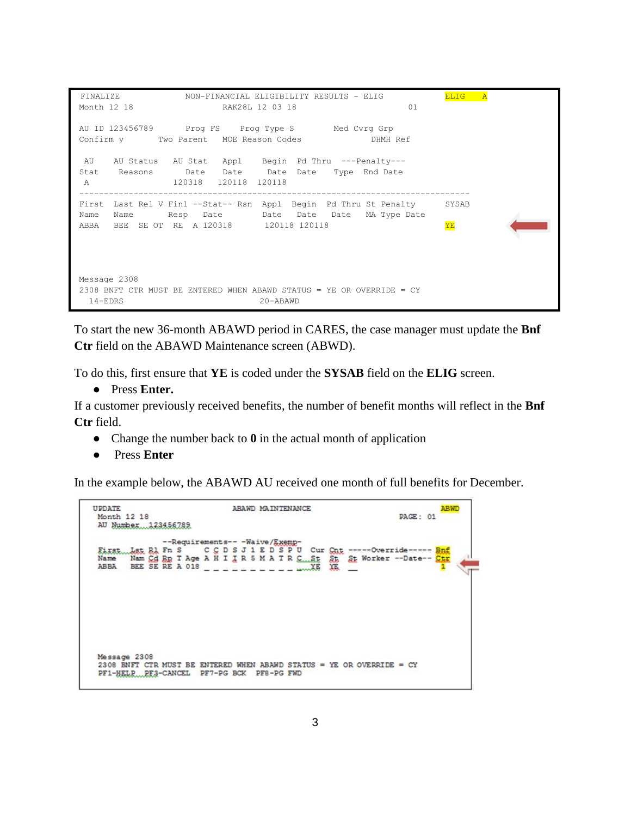```
 FINALIZE NON-FINANCIAL ELIGIBILITY RESULTS - ELIG ELIG A
                     RAK28L 12 03 18 01
AU ID 123456789 Prog FS Prog Type S Med Cvrg Grp 
Confirm y Two Parent MOE Reason Codes DHMH Ref 
 AU AU Status AU Stat Appl Begin Pd Thru ---Penalty--- 
Stat Reasons Date Date Date Date Type End Date 
 A 120318 120118 120118 
-------------------------------------------------------------------------------
First Last Rel V Finl --Stat-- Rsn Appl Begin Pd Thru St Penalty SYSAB
Name Name Resp Date Date Date Date MA Type Date 
ABBA BEE SE OT RE A 120318 120118 120118 120118
Message 2308 
2308 BNFT CTR MUST BE ENTERED WHEN ABAWD STATUS = YE OR OVERRIDE = CY 
  14-EDRS 20-ABAWD
```
To start the new 36-month ABAWD period in CARES, the case manager must update the **Bnf Ctr** field on the ABAWD Maintenance screen (ABWD).

To do this, first ensure that **YE** is coded under the **SYSAB** field on the **ELIG** screen.

● Press **Enter.**

If a customer previously received benefits, the number of benefit months will reflect in the **Bnf Ctr** field.

- Change the number back to **0** in the actual month of application
- Press **Enter**

In the example below, the ABAWD AU received one month of full benefits for December.

```
UPDATE
                       ABAWD MAINTENANCE
                                                         ABWD
                                                  PAGE: 01
Month 12 18
AU Number 123456782
           --Requirements-- -Waive/Exemp-
     Eisst
Name
ABBA BEE SE RE A 018 __________
Message 2308
2308 BNFT CTR MUST BE ENTERED WHEN ABAWD STATUS = YE OR OVERRIDE = CY
PF1-HELP PF3-CANCEL PF7-PG BCK PF8-PG FWD
```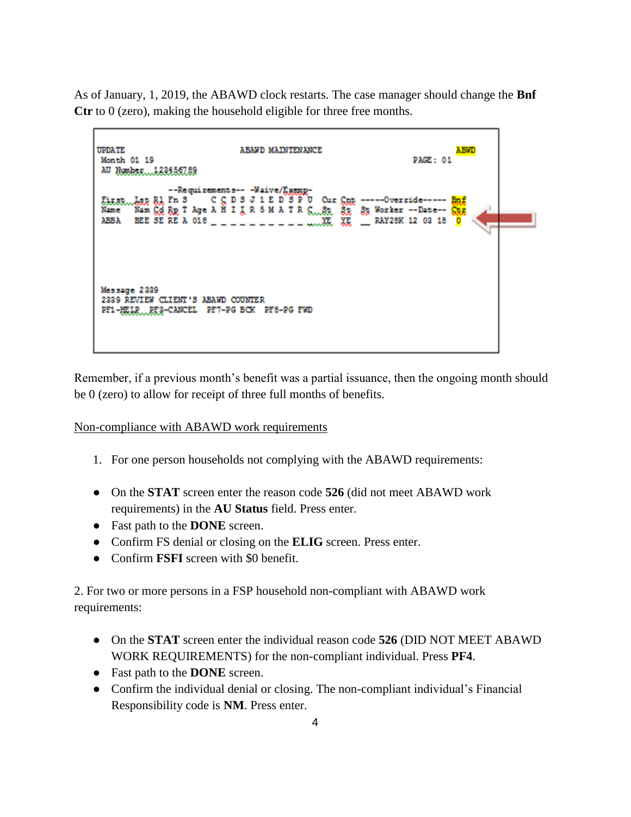As of January, 1, 2019, the ABAWD clock restarts. The case manager should change the **Bnf Ctr** to 0 (zero), making the household eligible for three free months.

| <b>UPDATE</b><br>ABAWD MAINTENANCE<br>Month 01 19<br>AU Number123456789 |                                                                                                                                                                                                                                 | <b>ABWD</b><br>PAGE: 01 |
|-------------------------------------------------------------------------|---------------------------------------------------------------------------------------------------------------------------------------------------------------------------------------------------------------------------------|-------------------------|
|                                                                         |                                                                                                                                                                                                                                 |                         |
| Name<br>ABBA                                                            | --Requirements-- -Waive/Exemp-<br>Eixst Lite Bl Fn S C C D S J 1 E D S P U Cur Cut ----Override----- But<br>Nam Gd 8p T Age A H I J R 5 M A T R S. 8t 8t Worker -- Date-- Gtz<br>BEE SE RE A 018 _ _ _ _ _ _ _ _ _ _ _ _ _ _ XE | <b>RAY28K 12 03 18</b>  |
| Message 2339<br>2339 REVIEW CLIENT'S ABAWD COUNTER                      | PF1-HELP RF2-CANCEL PF7-PG BCK PF8-PG FWD                                                                                                                                                                                       |                         |

Remember, if a previous month's benefit was a partial issuance, then the ongoing month should be 0 (zero) to allow for receipt of three full months of benefits.

#### Non-compliance with ABAWD work requirements

- 1. For one person households not complying with the ABAWD requirements:
- On the **STAT** screen enter the reason code **526** (did not meet ABAWD work requirements) in the **AU Status** field. Press enter.
- Fast path to the **DONE** screen.
- Confirm FS denial or closing on the **ELIG** screen. Press enter.
- Confirm **FSFI** screen with \$0 benefit.

2. For two or more persons in a FSP household non-compliant with ABAWD work requirements:

- On the **STAT** screen enter the individual reason code **526** (DID NOT MEET ABAWD WORK REQUIREMENTS) for the non-compliant individual. Press **PF4**.
- Fast path to the **DONE** screen.
- Confirm the individual denial or closing. The non-compliant individual's Financial Responsibility code is **NM**. Press enter.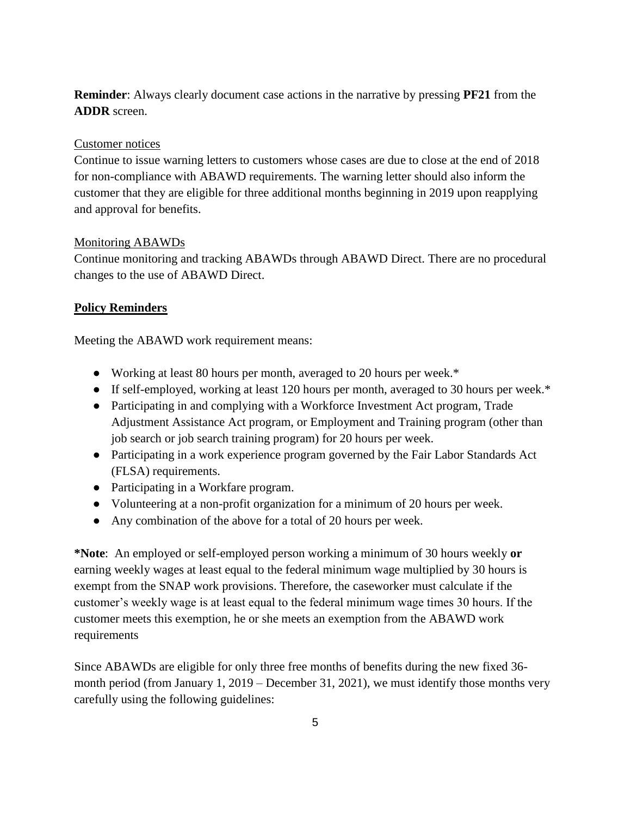**Reminder**: Always clearly document case actions in the narrative by pressing **PF21** from the **ADDR** screen.

#### Customer notices

Continue to issue warning letters to customers whose cases are due to close at the end of 2018 for non-compliance with ABAWD requirements. The warning letter should also inform the customer that they are eligible for three additional months beginning in 2019 upon reapplying and approval for benefits.

#### Monitoring ABAWDs

Continue monitoring and tracking ABAWDs through ABAWD Direct. There are no procedural changes to the use of ABAWD Direct.

## **Policy Reminders**

Meeting the ABAWD work requirement means:

- Working at least 80 hours per month, averaged to 20 hours per week.\*
- If self-employed, working at least 120 hours per month, averaged to 30 hours per week.\*
- Participating in and complying with a Workforce Investment Act program, Trade Adjustment Assistance Act program, or Employment and Training program (other than job search or job search training program) for 20 hours per week.
- Participating in a work experience program governed by the Fair Labor Standards Act (FLSA) requirements.
- Participating in a Workfare program.
- Volunteering at a non-profit organization for a minimum of 20 hours per week.
- Any combination of the above for a total of 20 hours per week.

**\*Note**: An employed or self-employed person working a minimum of 30 hours weekly **or**  earning weekly wages at least equal to the federal minimum wage multiplied by 30 hours is exempt from the SNAP work provisions. Therefore, the caseworker must calculate if the customer's weekly wage is at least equal to the federal minimum wage times 30 hours. If the customer meets this exemption, he or she meets an exemption from the ABAWD work requirements

Since ABAWDs are eligible for only three free months of benefits during the new fixed 36 month period (from January 1, 2019 – December 31, 2021), we must identify those months very carefully using the following guidelines: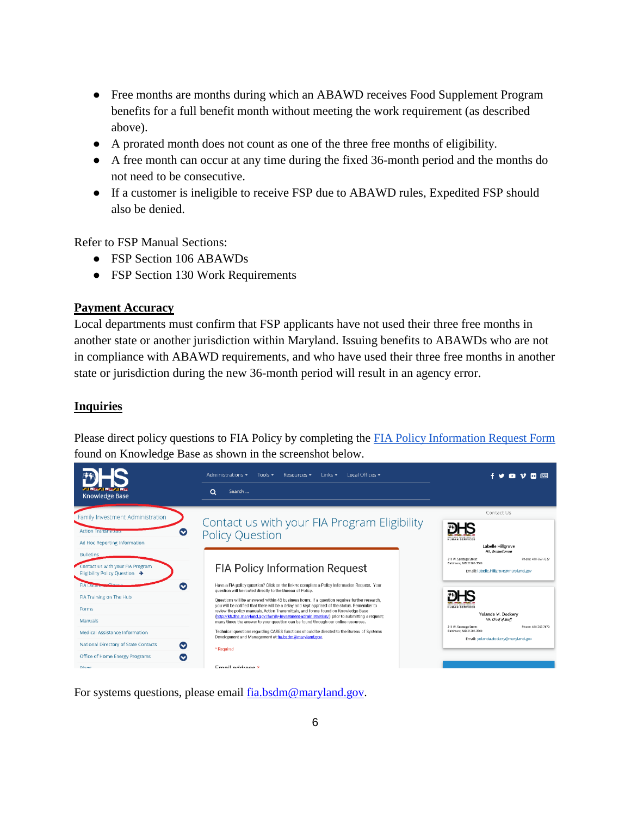- Free months are months during which an ABAWD receives Food Supplement Program benefits for a full benefit month without meeting the work requirement (as described above).
- A prorated month does not count as one of the three free months of eligibility.
- A free month can occur at any time during the fixed 36-month period and the months do not need to be consecutive.
- If a customer is ineligible to receive FSP due to ABAWD rules, Expedited FSP should also be denied.

Refer to FSP Manual Sections:

- FSP Section 106 ABAWDs
- FSP Section 130 Work Requirements

#### **Payment Accuracy**

Local departments must confirm that FSP applicants have not used their three free months in another state or another jurisdiction within Maryland. Issuing benefits to ABAWDs who are not in compliance with ABAWD requirements, and who have used their three free months in another state or jurisdiction during the new 36-month period will result in an agency error.

#### **Inquiries**

Please direct policy questions to FIA Policy by completing the [FIA Policy Information Request Form](http://kb.dhs.maryland.gov/family-investment-administration/contact-us-with-your-fia-program-eligibility-policy-question/) found on Knowledge Base as shown in the screenshot below.

| <b>M.I. ROLLAND ROLL</b><br><b>Knowledge Base</b>                                                                                                                                                                                                                                                        | Q<br>Search                                                                                                                                                                                                                                                                                                                                                                                                                                                                                                                                                                                                                                                                                                                                                                                                                                                          |                                                                                                                                                                                                                                                                                                              |
|----------------------------------------------------------------------------------------------------------------------------------------------------------------------------------------------------------------------------------------------------------------------------------------------------------|----------------------------------------------------------------------------------------------------------------------------------------------------------------------------------------------------------------------------------------------------------------------------------------------------------------------------------------------------------------------------------------------------------------------------------------------------------------------------------------------------------------------------------------------------------------------------------------------------------------------------------------------------------------------------------------------------------------------------------------------------------------------------------------------------------------------------------------------------------------------|--------------------------------------------------------------------------------------------------------------------------------------------------------------------------------------------------------------------------------------------------------------------------------------------------------------|
| Family Investment Administration<br><b>Action Transmittain</b><br>$\bullet$<br>Ad Hoc Reporting Information                                                                                                                                                                                              | Contact us with your FIA Program Eligibility<br><b>Policy Question</b>                                                                                                                                                                                                                                                                                                                                                                                                                                                                                                                                                                                                                                                                                                                                                                                               | Contact Us<br><b>HUMAN SERVICES</b><br>Labelle Hillgrove<br>FIA. Ombudsman                                                                                                                                                                                                                                   |
| <b>Bulletins</b><br>Contact us with your FIA Program<br>Eligibility Policy Question $\rightarrow$<br>Ø<br><b>FIA Dator</b><br>FIA Training on The Hub<br>Forms<br>Manuals<br>Medical Assistance Information<br>National Directory of State Contacts<br>∞<br>Office of Home Energy Programs<br>∞<br>Diane | <b>FIA Policy Information Request</b><br>Have a FIA policy question? Click on the link to complete a Policy Information Request. Your<br>question will be routed directly to the Bureau of Policy.<br>Questions will be answered within 48 business hours. If a question requires further research.<br>you will be notified that there will be a delay and kept apprised of the status. Remember to<br>review the policy manuals, Action Transmittals, and forms found on Knowledge Base<br>(http://kb.dhs.maryland.gov/family-investment-administration/) prior to submitting a request;<br>many times the answer to your question can be found through our online resources.<br>Technical questions regarding CARES functions should be directed to the Bureau of Systems<br>Development and Management at fia.bsdm@maryland.gov.<br>* Required<br>Email address * | Phone: 410-767-7327<br>311 W. Saratoga Street<br>Baltimore, MD 21201-3500<br>Email: labelle,hillgrove@marvland.gov<br><b>HUMAN SERVICES</b><br>Yolanda M. Dockery<br>FIA, Chief of Staff<br>311 W. Saratoga Street<br>Phone: 410-767-7670<br>Baltimore, MD 21201-3500<br>Email: yolanda.dockery@maryland.gov |

For systems questions, please email [fia.bsdm@maryland.gov.](mailto:fia.bsdm@maryland.gov)